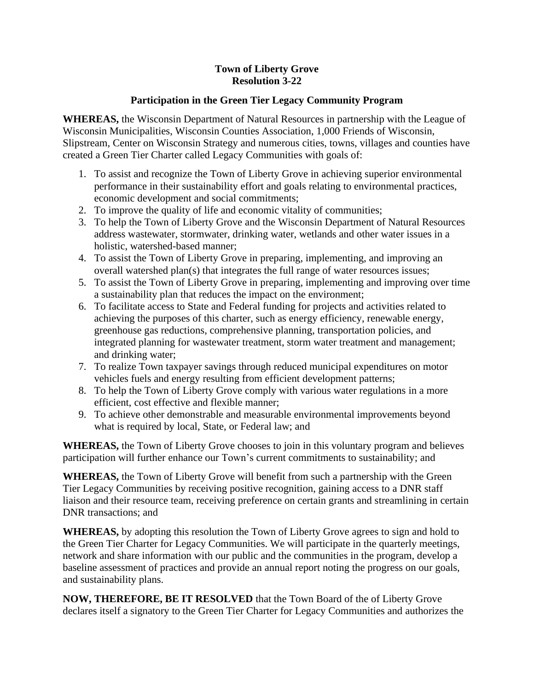## **Town of Liberty Grove Resolution 3-22**

## **Participation in the Green Tier Legacy Community Program**

**WHEREAS,** the Wisconsin Department of Natural Resources in partnership with the League of Wisconsin Municipalities, Wisconsin Counties Association, 1,000 Friends of Wisconsin, Slipstream, Center on Wisconsin Strategy and numerous cities, towns, villages and counties have created a Green Tier Charter called Legacy Communities with goals of:

- 1. To assist and recognize the Town of Liberty Grove in achieving superior environmental performance in their sustainability effort and goals relating to environmental practices, economic development and social commitments;
- 2. To improve the quality of life and economic vitality of communities;
- 3. To help the Town of Liberty Grove and the Wisconsin Department of Natural Resources address wastewater, stormwater, drinking water, wetlands and other water issues in a holistic, watershed-based manner;
- 4. To assist the Town of Liberty Grove in preparing, implementing, and improving an overall watershed plan(s) that integrates the full range of water resources issues;
- 5. To assist the Town of Liberty Grove in preparing, implementing and improving over time a sustainability plan that reduces the impact on the environment;
- 6. To facilitate access to State and Federal funding for projects and activities related to achieving the purposes of this charter, such as energy efficiency, renewable energy, greenhouse gas reductions, comprehensive planning, transportation policies, and integrated planning for wastewater treatment, storm water treatment and management; and drinking water;
- 7. To realize Town taxpayer savings through reduced municipal expenditures on motor vehicles fuels and energy resulting from efficient development patterns;
- 8. To help the Town of Liberty Grove comply with various water regulations in a more efficient, cost effective and flexible manner;
- 9. To achieve other demonstrable and measurable environmental improvements beyond what is required by local, State, or Federal law; and

**WHEREAS,** the Town of Liberty Grove chooses to join in this voluntary program and believes participation will further enhance our Town's current commitments to sustainability; and

**WHEREAS,** the Town of Liberty Grove will benefit from such a partnership with the Green Tier Legacy Communities by receiving positive recognition, gaining access to a DNR staff liaison and their resource team, receiving preference on certain grants and streamlining in certain DNR transactions; and

**WHEREAS,** by adopting this resolution the Town of Liberty Grove agrees to sign and hold to the Green Tier Charter for Legacy Communities. We will participate in the quarterly meetings, network and share information with our public and the communities in the program, develop a baseline assessment of practices and provide an annual report noting the progress on our goals, and sustainability plans.

**NOW, THEREFORE, BE IT RESOLVED** that the Town Board of the of Liberty Grove declares itself a signatory to the Green Tier Charter for Legacy Communities and authorizes the